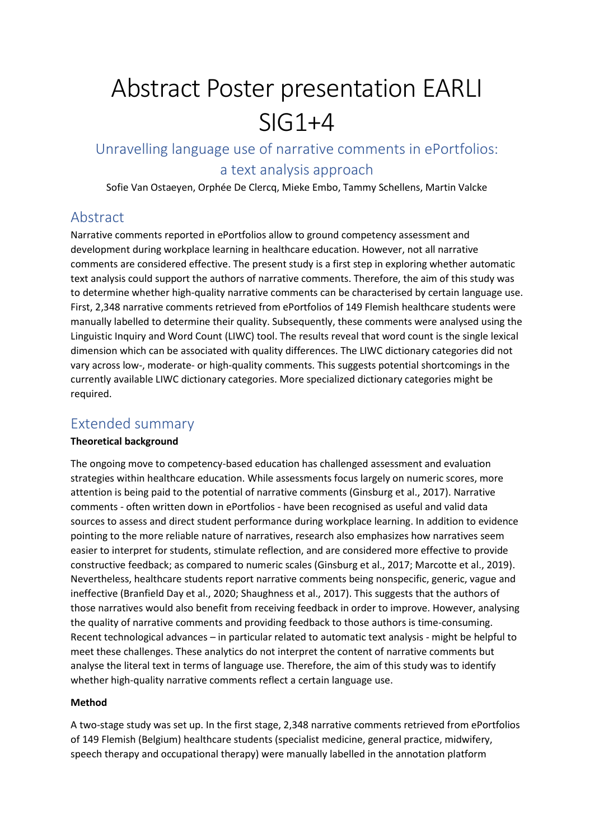# Abstract Poster presentation EARLI SIG1+4

Unravelling language use of narrative comments in ePortfolios: a text analysis approach

Sofie Van Ostaeyen, Orphée De Clercq, Mieke Embo, Tammy Schellens, Martin Valcke

## Abstract

Narrative comments reported in ePortfolios allow to ground competency assessment and development during workplace learning in healthcare education. However, not all narrative comments are considered effective. The present study is a first step in exploring whether automatic text analysis could support the authors of narrative comments. Therefore, the aim of this study was to determine whether high-quality narrative comments can be characterised by certain language use. First, 2,348 narrative comments retrieved from ePortfolios of 149 Flemish healthcare students were manually labelled to determine their quality. Subsequently, these comments were analysed using the Linguistic Inquiry and Word Count (LIWC) tool. The results reveal that word count is the single lexical dimension which can be associated with quality differences. The LIWC dictionary categories did not vary across low-, moderate- or high-quality comments. This suggests potential shortcomings in the currently available LIWC dictionary categories. More specialized dictionary categories might be required.

### Extended summary

#### **Theoretical background**

The ongoing move to competency-based education has challenged assessment and evaluation strategies within healthcare education. While assessments focus largely on numeric scores, more attention is being paid to the potential of narrative comments (Ginsburg et al., 2017). Narrative comments - often written down in ePortfolios - have been recognised as useful and valid data sources to assess and direct student performance during workplace learning. In addition to evidence pointing to the more reliable nature of narratives, research also emphasizes how narratives seem easier to interpret for students, stimulate reflection, and are considered more effective to provide constructive feedback; as compared to numeric scales (Ginsburg et al., 2017; Marcotte et al., 2019). Nevertheless, healthcare students report narrative comments being nonspecific, generic, vague and ineffective (Branfield Day et al., 2020; Shaughness et al., 2017). This suggests that the authors of those narratives would also benefit from receiving feedback in order to improve. However, analysing the quality of narrative comments and providing feedback to those authors is time-consuming. Recent technological advances – in particular related to automatic text analysis - might be helpful to meet these challenges. These analytics do not interpret the content of narrative comments but analyse the literal text in terms of language use. Therefore, the aim of this study was to identify whether high-quality narrative comments reflect a certain language use.

#### **Method**

A two-stage study was set up. In the first stage, 2,348 narrative comments retrieved from ePortfolios of 149 Flemish (Belgium) healthcare students (specialist medicine, general practice, midwifery, speech therapy and occupational therapy) were manually labelled in the annotation platform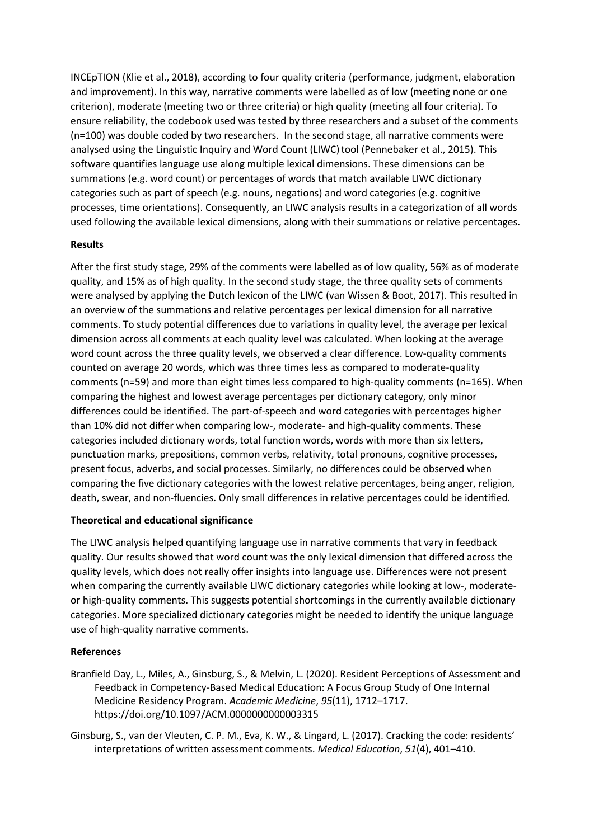INCEpTION (Klie et al., 2018), according to four quality criteria (performance, judgment, elaboration and improvement). In this way, narrative comments were labelled as of low (meeting none or one criterion), moderate (meeting two or three criteria) or high quality (meeting all four criteria). To ensure reliability, the codebook used was tested by three researchers and a subset of the comments (n=100) was double coded by two researchers. In the second stage, all narrative comments were analysed using the Linguistic Inquiry and Word Count (LIWC) tool (Pennebaker et al., 2015). This software quantifies language use along multiple lexical dimensions. These dimensions can be summations (e.g. word count) or percentages of words that match available LIWC dictionary categories such as part of speech (e.g. nouns, negations) and word categories (e.g. cognitive processes, time orientations). Consequently, an LIWC analysis results in a categorization of all words used following the available lexical dimensions, along with their summations or relative percentages.

#### **Results**

After the first study stage, 29% of the comments were labelled as of low quality, 56% as of moderate quality, and 15% as of high quality. In the second study stage, the three quality sets of comments were analysed by applying the Dutch lexicon of the LIWC (van Wissen & Boot, 2017). This resulted in an overview of the summations and relative percentages per lexical dimension for all narrative comments. To study potential differences due to variations in quality level, the average per lexical dimension across all comments at each quality level was calculated. When looking at the average word count across the three quality levels, we observed a clear difference. Low-quality comments counted on average 20 words, which was three times less as compared to moderate-quality comments (n=59) and more than eight times less compared to high-quality comments (n=165). When comparing the highest and lowest average percentages per dictionary category, only minor differences could be identified. The part-of-speech and word categories with percentages higher than 10% did not differ when comparing low-, moderate- and high-quality comments. These categories included dictionary words, total function words, words with more than six letters, punctuation marks, prepositions, common verbs, relativity, total pronouns, cognitive processes, present focus, adverbs, and social processes. Similarly, no differences could be observed when comparing the five dictionary categories with the lowest relative percentages, being anger, religion, death, swear, and non-fluencies. Only small differences in relative percentages could be identified.

#### **Theoretical and educational significance**

The LIWC analysis helped quantifying language use in narrative comments that vary in feedback quality. Our results showed that word count was the only lexical dimension that differed across the quality levels, which does not really offer insights into language use. Differences were not present when comparing the currently available LIWC dictionary categories while looking at low-, moderateor high-quality comments. This suggests potential shortcomings in the currently available dictionary categories. More specialized dictionary categories might be needed to identify the unique language use of high-quality narrative comments.

#### **References**

- Branfield Day, L., Miles, A., Ginsburg, S., & Melvin, L. (2020). Resident Perceptions of Assessment and Feedback in Competency-Based Medical Education: A Focus Group Study of One Internal Medicine Residency Program. *Academic Medicine*, *95*(11), 1712–1717. https://doi.org/10.1097/ACM.0000000000003315
- Ginsburg, S., van der Vleuten, C. P. M., Eva, K. W., & Lingard, L. (2017). Cracking the code: residents' interpretations of written assessment comments. *Medical Education*, *51*(4), 401–410.